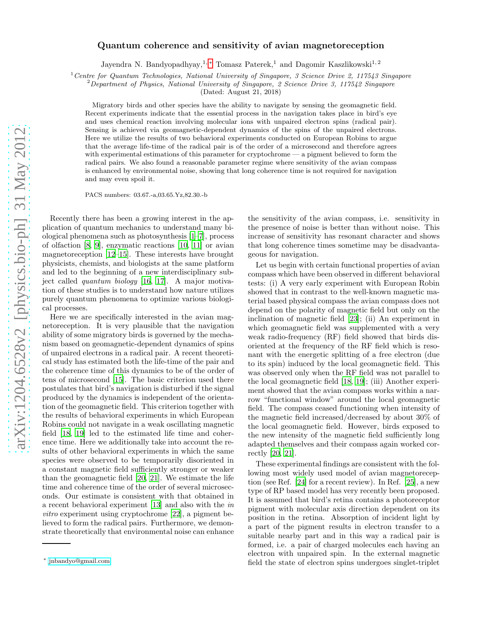# Quantum coherence and sensitivity of avian magnetoreception

Jayendra N. Bandyopadhyay,<sup>1, \*</sup> Tomasz Paterek,<sup>1</sup> and Dagomir Kaszlikowski<sup>1,2</sup>

<sup>1</sup> Centre for Quantum Technologies, National University of Singapore, 3 Science Drive 2, 117543 Singapore

<sup>2</sup>Department of Physics, National University of Singapore, 2 Science Drive 3, 117542 Singapore

(Dated: August 21, 2018)

Migratory birds and other species have the ability to navigate by sensing the geomagnetic field. Recent experiments indicate that the essential process in the navigation takes place in bird's eye and uses chemical reaction involving molecular ions with unpaired electron spins (radical pair). Sensing is achieved via geomagnetic-dependent dynamics of the spins of the unpaired electrons. Here we utilize the results of two behavioral experiments conducted on European Robins to argue that the average life-time of the radical pair is of the order of a microsecond and therefore agrees with experimental estimations of this parameter for cryptochrome — a pigment believed to form the radical pairs. We also found a reasonable parameter regime where sensitivity of the avian compass is enhanced by environmental noise, showing that long coherence time is not required for navigation and may even spoil it.

PACS numbers: 03.67.-a,03.65.Yz,82.30.-b

Recently there has been a growing interest in the application of quantum mechanics to understand many biological phenomena such as photosynthesis [\[1](#page-4-0)[–7](#page-5-0)], process of olfaction [\[8,](#page-5-1) [9\]](#page-5-2), enzymatic reactions [\[10,](#page-5-3) [11](#page-5-4)] or avian magnetoreception [\[12](#page-5-5)[–15](#page-5-6)]. These interests have brought physicists, chemists, and biologists at the same platform and led to the beginning of a new interdisciplinary subject called quantum biology [\[16,](#page-5-7) [17](#page-5-8)]. A major motivation of these studies is to understand how nature utilizes purely quantum phenomena to optimize various biological processes.

Here we are specifically interested in the avian magnetoreception. It is very plausible that the navigation ability of some migratory birds is governed by the mechanism based on geomagnetic-dependent dynamics of spins of unpaired electrons in a radical pair. A recent theoretical study has estimated both the life-time of the pair and the coherence time of this dynamics to be of the order of tens of microsecond [\[15\]](#page-5-6). The basic criterion used there postulates that bird's navigation is disturbed if the signal produced by the dynamics is independent of the orientation of the geomagnetic field. This criterion together with the results of behavioral experiments in which European Robins could not navigate in a weak oscillating magnetic field [\[18,](#page-5-9) [19\]](#page-5-10) led to the estimated life time and coherence time. Here we additionally take into account the results of other behavioral experiments in which the same species were observed to be temporarily disoriented in a constant magnetic field sufficiently stronger or weaker than the geomagnetic field [\[20,](#page-5-11) [21\]](#page-5-12). We estimate the life time and coherence time of the order of several microseconds. Our estimate is consistent with that obtained in a recent behavioral experiment [\[13\]](#page-5-13) and also with the in vitro experiment using cryptochrome [\[22](#page-5-14)], a pigment believed to form the radical pairs. Furthermore, we demonstrate theoretically that environmental noise can enhance

the sensitivity of the avian compass, i.e. sensitivity in the presence of noise is better than without noise. This increase of sensitivity has resonant character and shows that long coherence times sometime may be disadvantageous for navigation.

Let us begin with certain functional properties of avian compass which have been observed in different behavioral tests: (i) A very early experiment with European Robin showed that in contrast to the well-known magnetic material based physical compass the avian compass does not depend on the polarity of magnetic field but only on the inclination of magnetic field [\[23](#page-5-15)]; (ii) An experiment in which geomagnetic field was supplemented with a very weak radio-frequency (RF) field showed that birds disoriented at the frequency of the RF field which is resonant with the energetic splitting of a free electron (due to its spin) induced by the local geomagnetic field. This was observed only when the RF field was not parallel to the local geomagnetic field [\[18,](#page-5-9) [19\]](#page-5-10); (iii) Another experiment showed that the avian compass works within a narrow "functional window" around the local geomagnetic field. The compass ceased functioning when intensity of the magnetic field increased/decreased by about 30% of the local geomagnetic field. However, birds exposed to the new intensity of the magnetic field sufficiently long adapted themselves and their compass again worked correctly [\[20,](#page-5-11) [21\]](#page-5-12).

These experimental findings are consistent with the following most widely used model of avian magnetoreception (see Ref. [\[24\]](#page-5-16) for a recent review). In Ref. [\[25\]](#page-5-17), a new type of RP based model has very recently been proposed. It is assumed that bird's retina contains a photoreceptor pigment with molecular axis direction dependent on its position in the retina. Absorption of incident light by a part of the pigment results in electron transfer to a suitable nearby part and in this way a radical pair is formed, i.e. a pair of charged molecules each having an electron with unpaired spin. In the external magnetic field the state of electron spins undergoes singlet-triplet

<span id="page-0-0"></span><sup>∗</sup> [jnbandyo@gmail.com](mailto:jnbandyo@gmail.com)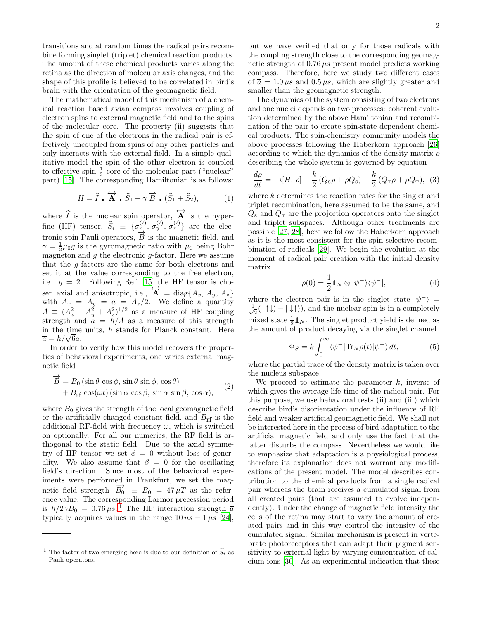transitions and at random times the radical pairs recombine forming singlet (triplet) chemical reaction products. The amount of these chemical products varies along the retina as the direction of molecular axis changes, and the shape of this profile is believed to be correlated in bird's brain with the orientation of the geomagnetic field.

The mathematical model of this mechanism of a chemical reaction based avian compass involves coupling of electron spins to external magnetic field and to the spins of the molecular core. The property (ii) suggests that the spin of one of the electrons in the radical pair is effectively uncoupled from spins of any other particles and only interacts with the external field. In a simple qualitative model the spin of the other electron is coupled to effective spin- $\frac{1}{2}$  core of the molecular part ("nuclear" part) [\[15](#page-5-6)]. The corresponding Hamiltonian is as follows:

$$
H = \widehat{I} \cdot \widehat{A} \cdot \widehat{S}_1 + \gamma \overrightarrow{B} \cdot (\widehat{S}_1 + \widehat{S}_2), \tag{1}
$$

where  $\widehat{I}$  is the nuclear spin operator,  $\overleftrightarrow{A}$  is the hyperfine (HF) tensor,  $\widehat{S}_i \equiv \{ \sigma_{\underline{x}}^{(i)}, \sigma_{y}^{(i)}, \sigma_{z}^{(i)} \}$  are the electronic spin Pauli operators,  $\overrightarrow{B}$  is the magnetic field, and  $\gamma = \frac{1}{2}\mu_0 g$  is the gyromagnetic ratio with  $\mu_0$  being Bohr magneton and  $g$  the electronic  $g$ -factor. Here we assume that the g-factors are the same for both electrons and set it at the value corresponding to the free electron, i.e.  $g = 2$ . Following Ref. [\[15](#page-5-6)] the HF tensor is chosen axial and anisotropic, i.e.,  $\overleftrightarrow{A} = \text{diag}\{A_x, A_y, A_z\}$ with  $A_x = A_y = a = A_z/2$ . We define a quantity  $A \equiv (A_x^2 + A_y^2 + A_z^2)^{1/2}$  as a measure of HF coupling strength and  $\overline{a} = h/A$  as a measure of this strength in the time units,  $h$  stands for Planck constant. Here  $\overline{a} = h/\sqrt{6}a.$ 

In order to verify how this model recovers the properties of behavioral experiments, one varies external magnetic field

$$
\overrightarrow{B} = B_0 (\sin \theta \cos \phi, \sin \theta \sin \phi, \cos \theta) \n+ B_{\rm rf} \cos(\omega t) (\sin \alpha \cos \beta, \sin \alpha \sin \beta, \cos \alpha),
$$
\n(2)

where  $B_0$  gives the strength of the local geomagnetic field or the artificially changed constant field, and  $B_{\rm rf}$  is the additional RF-field with frequency  $\omega$ , which is switched on optionally. For all our numerics, the RF field is orthogonal to the static field. Due to the axial symmetry of HF tensor we set  $\phi = 0$  without loss of generality. We also assume that  $\beta = 0$  for the oscillating field's direction. Since most of the behavioral experiments were performed in Frankfurt, we set the magnetic field strength  $|\overrightarrow{B_0}| = B_0 = 47 \,\mu\text{T}$  as the reference value. The corresponding Larmor precession period is  $h/2\gamma B_0 = 0.76 \,\mu s$ . The HF interaction strength  $\overline{a}$ typically acquires values in the range  $10 ns - 1 \mu s$  [\[24\]](#page-5-16), but we have verified that only for those radicals with the coupling strength close to the corresponding geomagnetic strength of  $0.76 \,\mu s$  present model predicts working compass. Therefore, here we study two different cases of  $\overline{a} = 1.0 \,\mu s$  and  $0.5 \,\mu s$ , which are slightly greater and smaller than the geomagnetic strength.

The dynamics of the system consisting of two electrons and one nuclei depends on two processes: coherent evolution determined by the above Hamiltonian and recombination of the pair to create spin-state dependent chemical products. The spin-chemistry community models the above processes following the Haberkorn approach [\[26](#page-5-18)] according to which the dynamics of the density matrix  $\rho$ describing the whole system is governed by equation

$$
\frac{d\rho}{dt} = -i[H, \rho] - \frac{k}{2}(Q_{\rm s}\rho + \rho Q_{\rm s}) - \frac{k}{2}(Q_{\rm T}\rho + \rho Q_{\rm T}), \tag{3}
$$

where k determines the reaction rates for the singlet and triplet recombination, here assumed to be the same, and  $Q_{\rm s}$  and  $Q_{\rm T}$  are the projection operators onto the singlet and triplet subspaces. Although other treatments are possible [\[27](#page-5-19), [28\]](#page-5-20), here we follow the Haberkorn approach as it is the most consistent for the spin-selective recombination of radicals [\[29](#page-5-21)]. We begin the evolution at the moment of radical pair creation with the initial density matrix

$$
\rho(0) = \frac{1}{2} \mathbb{1}_N \otimes |\psi^{-}\rangle\langle\psi^{-}|,\tag{4}
$$

where the electron pair is in the singlet state  $|\psi^{-}\rangle =$ √ 1  $\frac{1}{2}(|\uparrow\downarrow\rangle - |\downarrow\uparrow\rangle)$ , and the nuclear spin is in a completely mixed state  $\frac{1}{2} \mathbb{I}_N$ . The singlet product yield is defined as the amount of product decaying via the singlet channel

$$
\Phi_S = k \int_0^\infty \langle \psi^- | \text{Tr}_N \rho(t) | \psi^- \rangle dt, \tag{5}
$$

where the partial trace of the density matrix is taken over the nucleus subspace.

We proceed to estimate the parameter  $k$ , inverse of which gives the average life-time of the radical pair. For this purpose, we use behavioral tests (ii) and (iii) which describe bird's disorientation under the influence of RF field and weaker artificial geomagnetic field. We shall not be interested here in the process of bird adaptation to the artificial magnetic field and only use the fact that the latter disturbs the compass. Nevertheless we would like to emphasize that adaptation is a physiological process, therefore its explanation does not warrant any modifications of the present model. The model describes contribution to the chemical products from a single radical pair whereas the brain receives a cumulated signal from all created pairs (that are assumed to evolve independently). Under the change of magnetic field intensity the cells of the retina may start to vary the amount of created pairs and in this way control the intensity of the cumulated signal. Similar mechanism is present in vertebrate photoreceptors that can adapt their pigment sensitivity to external light by varying concentration of calcium ions [\[30\]](#page-5-22). As an experimental indication that these

<span id="page-1-0"></span><sup>&</sup>lt;sup>1</sup> The factor of two emerging here is due to our definition of  $\hat{S}_i$  as Pauli operators.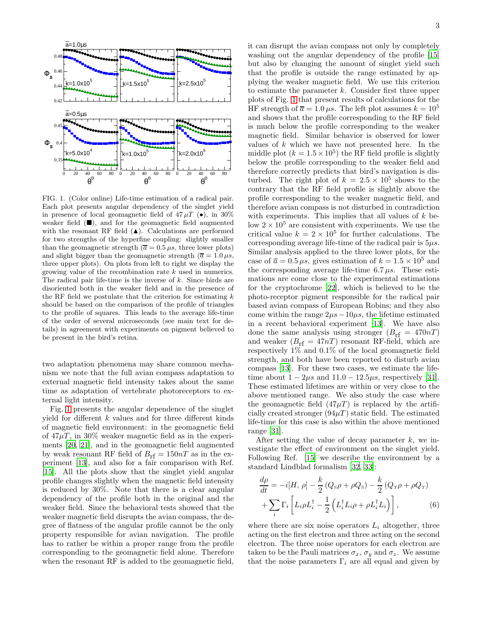

<span id="page-2-0"></span>FIG. 1. (Color online) Life-time estimation of a radical pair. Each plot presents angular dependency of the singlet yield in presence of local geomagnetic field of  $47 \mu T$  ( $\bullet$ ), in 30% weaker field  $(\blacksquare)$ , and for the geomagnetic field augmented with the resonant RF field  $(A)$ . Calculations are performed for two strengths of the hyperfine coupling: slightly smaller than the geomagnetic strength ( $\overline{a} = 0.5 \,\mu s$ , three lower plots) and slight bigger than the geomagnetic strength ( $\overline{a} = 1.0 \,\mu s$ , three upper plots). On plots from left to right we display the growing value of the recombination rate k used in numerics. The radical pair life-time is the inverse of  $k$ . Since birds are disoriented both in the weaker field and in the presence of the RF field we postulate that the criterion for estimating  $k$ should be based on the comparison of the profile of triangles to the profile of squares. This leads to the average life-time of the order of several microseconds (see main text for details) in agreement with experiments on pigment believed to be present in the bird's retina.

two adaptation phenomena may share common mechanism we note that the full avian compass adaptation to external magnetic field intensity takes about the same time as adaptation of vertebrate photoreceptors to external light intensity.

Fig. [1](#page-2-0) presents the angular dependence of the singlet yield for different  $k$  values and for three different kinds of magnetic field environment: in the geomagnetic field of  $47\mu$ T, in 30% weaker magnetic field as in the experiments [\[20](#page-5-11), [21\]](#page-5-12), and in the geomagnetic field augmented by weak resonant RF field of  $B_{\text{rf}} = 150nT$  as in the experiment [\[13\]](#page-5-13), and also for a fair comparison with Ref. [\[15\]](#page-5-6). All the plots show that the singlet yield angular profile changes slightly when the magnetic field intensity is reduced by 30%. Note that there is a clear angular dependency of the profile both in the original and the weaker field. Since the behavioral tests showed that the weaker magnetic field disrupts the avian compass, the degree of flatness of the angular profile cannot be the only property responsible for avian navigation. The profile has to rather be within a proper range from the profile corresponding to the geomagnetic field alone. Therefore when the resonant RF is added to the geomagnetic field,

it can disrupt the avian compass not only by completely washing out the angular dependency of the profile [\[15](#page-5-6)] but also by changing the amount of singlet yield such that the profile is outside the range estimated by applying the weaker magnetic field. We use this criterion to estimate the parameter  $k$ . Consider first three upper plots of Fig. [1](#page-2-0) that present results of calculations for the HF strength of  $\overline{a} = 1.0 \,\mu s$ . The left plot assumes  $k = 10^5$ and shows that the profile corresponding to the RF field is much below the profile corresponding to the weaker magnetic field. Similar behavior is observed for lower values of  $k$  which we have not presented here. In the middle plot  $(k = 1.5 \times 10^5)$  the RF field profile is slightly below the profile corresponding to the weaker field and therefore correctly predicts that bird's navigation is disturbed. The right plot of  $k = 2.5 \times 10^5$  shows to the contrary that the RF field profile is slightly above the profile corresponding to the weaker magnetic field, and therefore avian compass is not disturbed in contradiction with experiments. This implies that all values of  $k$  below  $2 \times 10^5$  are consistent with experiments. We use the critical value  $k = 2 \times 10^5$  for further calculations. The corresponding average life-time of the radical pair is  $5\mu s$ . Similar analysis applied to the three lower plots, for the case of  $\overline{a} = 0.5 \,\mu s$ , gives estimation of  $k = 1.5 \times 10^5$  and the corresponding average life-time  $6.7 \mu s$ . These estimations are come close to the experimental estimations for the cryptochrome [\[22\]](#page-5-14), which is believed to be the photo-receptor pigment responsible for the radical pair based avian compass of European Robins; and they also come within the range  $2\mu s-10\mu s$ , the lifetime estimated in a recent behavioral experiment [\[13\]](#page-5-13). We have also done the same analysis using stronger  $(B_{\text{rf}} = 470n)$ and weaker  $(B_{\text{rf}} = 47n)$  resonant RF-field, which are respectively 1% and 0.1% of the local geomagnetic field strength, and both have been reported to disturb avian compass [\[13\]](#page-5-13). For these two cases, we estimate the lifetime about  $1 - 2\mu s$  and  $11.0 - 12.5\mu s$ , respectively [\[31\]](#page-5-23). These estimated lifetimes are within or very close to the above mentioned range. We also study the case where the geomagnetic field  $(47\mu)$  is replaced by the artificially created stronger  $(94\mu)$  static field. The estimated life-time for this case is also within the above mentioned range [\[31\]](#page-5-23).

After setting the value of decay parameter  $k$ , we investigate the effect of environment on the singlet yield. Following Ref. [\[15\]](#page-5-6) we describe the environment by a standard Lindblad formalism [\[32,](#page-5-24) [33\]](#page-5-25):

$$
\frac{d\rho}{dt} = -i[H, \rho] - \frac{k}{2} (Q_{\rm s}\rho + \rho Q_{\rm s}) - \frac{k}{2} (Q_{\rm T}\rho + \rho Q_{\rm T})
$$

$$
+ \sum_{i} \Gamma_i \left[ L_i \rho L_i^{\dagger} - \frac{1}{2} \left( L_i^{\dagger} L_i \rho + \rho L_i^{\dagger} L_i \right) \right], \tag{6}
$$

where there are six noise operators  $L_i$  altogether, three acting on the first electron and three acting on the second electron. The three noise operators for each electron are taken to be the Pauli matrices  $\sigma_x$ ,  $\sigma_y$  and  $\sigma_z$ . We assume that the noise parameters  $\Gamma_i$  are all equal and given by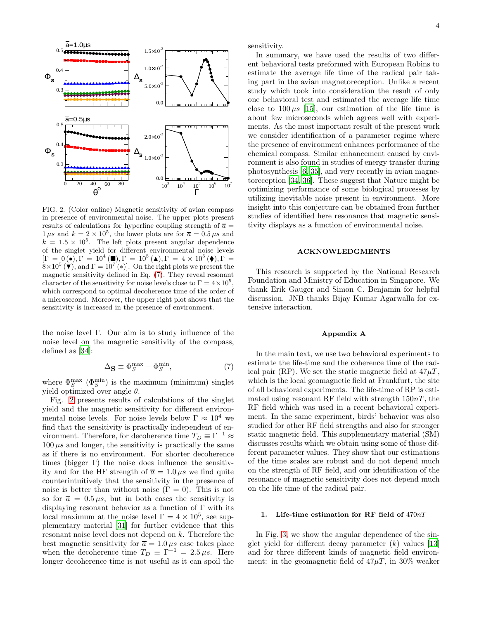

<span id="page-3-1"></span>FIG. 2. (Color online) Magnetic sensitivity of avian compass in presence of environmental noise. The upper plots present results of calculations for hyperfine coupling strength of  $\overline{a} =$  $1 \mu s$  and  $k = 2 \times 10^5$ , the lower plots are for  $\overline{a} = 0.5 \mu s$  and  $k = 1.5 \times 10^5$ . The left plots present angular dependence of the singlet yield for different environmental noise levels  $[\Gamma = 0 (\bullet), \Gamma = 10^4 (\blacksquare), \Gamma = 10^5 (\blacktriangle), \Gamma = 4 \times 10^5 (\blacklozenge), \Gamma =$  $8 \times 10^5$  ( $\bullet$ ), and  $\Gamma = 10^{7'} (*)$ . On the right plots we present the magnetic sensitivity defined in Eq. [\(7\)](#page-3-0). They reveal resonant character of the sensitivity for noise levels close to  $\Gamma = 4 \times 10^5$ , which correspond to optimal decoherence time of the order of a microsecond. Moreover, the upper right plot shows that the sensitivity is increased in the presence of environment.

the noise level Γ. Our aim is to study influence of the noise level on the magnetic sensitivity of the compass, defined as [\[34](#page-5-26)]:

<span id="page-3-0"></span>
$$
\Delta_{\mathbf{S}} \equiv \Phi_S^{\text{max}} - \Phi_S^{\text{min}},\tag{7}
$$

where  $\Phi_S^{\text{max}}(\Phi_S^{\text{min}})$  is the maximum (minimum) singlet yield optimized over angle  $\theta$ .

Fig. [2](#page-3-1) presents results of calculations of the singlet yield and the magnetic sensitivity for different environmental noise levels. For noise levels below  $\Gamma \approx 10^4$  we find that the sensitivity is practically independent of environment. Therefore, for decoherence time  $T_D \equiv \Gamma^{-1} \approx$  $100 \mu s$  and longer, the sensitivity is practically the same as if there is no environment. For shorter decoherence times (bigger  $\Gamma$ ) the noise does influence the sensitivity and for the HF strength of  $\overline{a} = 1.0 \,\mu s$  we find quite counterintuitively that the sensitivity in the presence of noise is better than without noise  $(Γ = 0)$ . This is not so for  $\overline{a} = 0.5 \mu s$ , but in both cases the sensitivity is displaying resonant behavior as a function of  $\Gamma$  with its local maximum at the noise level  $\Gamma = 4 \times 10^5$ , see supplementary material [\[31\]](#page-5-23) for further evidence that this resonant noise level does not depend on k. Therefore the best magnetic sensitivity for  $\overline{a} = 1.0 \,\mu s$  case takes place when the decoherence time  $T_D \equiv \Gamma^{-1} = 2.5 \,\mu s$ . Here longer decoherence time is not useful as it can spoil the

sensitivity.

In summary, we have used the results of two different behavioral tests preformed with European Robins to estimate the average life time of the radical pair taking part in the avian magnetoreception. Unlike a recent study which took into consideration the result of only one behavioral test and estimated the average life time close to  $100 \mu s$  [\[15](#page-5-6)], our estimation of the life time is about few microseconds which agrees well with experiments. As the most important result of the present work we consider identification of a parameter regime where the presence of environment enhances performance of the chemical compass. Similar enhancement caused by environment is also found in studies of energy transfer during photosynthesis [\[6,](#page-5-27) [35](#page-6-0)], and very recently in avian magnetoreception [\[34](#page-5-26), [36\]](#page-6-1). These suggest that Nature might be optimizing performance of some biological processes by utilizing inevitable noise present in environment. More insight into this conjecture can be obtained from further studies of identified here resonance that magnetic sensitivity displays as a function of environmental noise.

### ACKNOWLEDGMENTS

This research is supported by the National Research Foundation and Ministry of Education in Singapore. We thank Erik Gauger and Simon C. Benjamin for helpful discussion. JNB thanks Bijay Kumar Agarwalla for extensive interaction.

## Appendix A

In the main text, we use two behavioral experiments to estimate the life-time and the coherence time of the radical pair (RP). We set the static magnetic field at  $47 \mu T$ , which is the local geomagnetic field at Frankfurt, the site of all behavioral experiments. The life-time of RP is estimated using resonant RF field with strength  $150nT$ , the RF field which was used in a recent behavioral experiment. In the same experiment, birds' behavior was also studied for other RF field strengths and also for stronger static magnetic field. This supplementary material (SM) discusses results which we obtain using some of those different parameter values. They show that our estimations of the time scales are robust and do not depend much on the strength of RF field, and our identification of the resonance of magnetic sensitivity does not depend much on the life time of the radical pair.

# 1. Life-time estimation for RF field of 470nT

In Fig. [3,](#page-4-1) we show the angular dependence of the singlet yield for different decay parameter  $(k)$  values [\[13](#page-5-13)] and for three different kinds of magnetic field environment: in the geomagnetic field of  $47 \mu T$ , in 30% weaker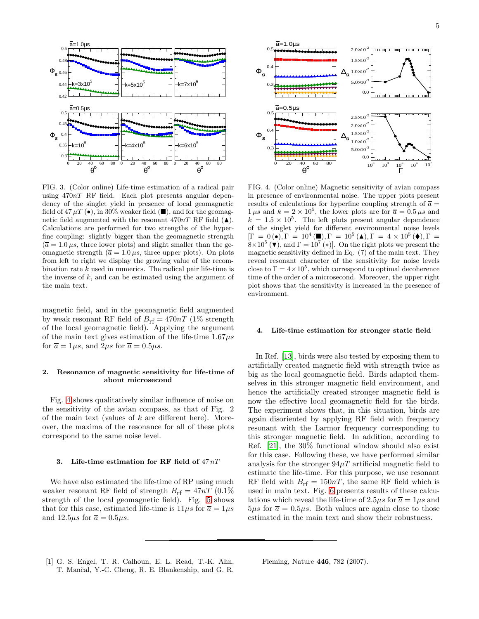

<span id="page-4-1"></span>FIG. 3. (Color online) Life-time estimation of a radical pair using 470nT RF field. Each plot presents angular dependency of the singlet yield in presence of local geomagnetic field of 47  $\mu$ T ( $\bullet$ ), in 30% weaker field ( $\blacksquare$ ), and for the geomagnetic field augmented with the resonant  $470nT$  RF field  $(\triangle)$ . Calculations are performed for two strengths of the hyperfine coupling: slightly bigger than the geomagnetic strength  $(\overline{a} = 1.0 \,\mu s,$  three lower plots) and slight smaller than the geomagnetic strength ( $\overline{a} = 1.0 \,\mu s$ , three upper plots). On plots from left to right we display the growing value of the recombination rate  $k$  used in numerics. The radical pair life-time is the inverse of  $k$ , and can be estimated using the argument of the main text.

magnetic field, and in the geomagnetic field augmented by weak resonant RF field of  $B_{\text{rf}} = 470nT$  (1% strength of the local geomagnetic field). Applying the argument of the main text gives estimation of the life-time  $1.67\mu s$ for  $\overline{a} = 1\mu s$ , and  $2\mu s$  for  $\overline{a} = 0.5\mu s$ .

### 2. Resonance of magnetic sensitivity for life-time of about microsecond

Fig. [4](#page-4-2) shows qualitatively similar influence of noise on the sensitivity of the avian compass, as that of Fig. 2 of the main text (values of  $k$  are different here). Moreover, the maxima of the resonance for all of these plots correspond to the same noise level.

#### 3. Life-time estimation for RF field of  $47nT$

We have also estimated the life-time of RP using much weaker resonant RF field of strength  $B_{\text{rf}} = 47nT$  (0.1%) strength of the local geomagnetic field). Fig. [5](#page-5-28) shows that for this case, estimated life-time is  $11\mu s$  for  $\bar{a} = 1\mu s$ and  $12.5\mu s$  for  $\overline{a} = 0.5\mu s$ .



<span id="page-4-2"></span>FIG. 4. (Color online) Magnetic sensitivity of avian compass in presence of environmental noise. The upper plots present results of calculations for hyperfine coupling strength of  $\overline{a} =$  $1 \mu s$  and  $k = 2 \times 10^5$ , the lower plots are for  $\overline{a} = 0.5 \mu s$  and  $k = 1.5 \times 10^5$ . The left plots present angular dependence of the singlet yield for different environmental noise levels  $[\Gamma = 0 (\bullet), \Gamma = 10^4 (\blacksquare), \Gamma = 10^5 (\blacktriangle), \Gamma = 4 \times 10^5 (\blacklozenge), \Gamma =$  $8 \times 10^5$  ( $\bullet$ ), and  $\Gamma = 10^{7'} (*)$ . On the right plots we present the magnetic sensitivity defined in Eq. (7) of the main text. They reveal resonant character of the sensitivity for noise levels close to  $\Gamma = 4 \times 10^5$ , which correspond to optimal decoherence time of the order of a microsecond. Moreover, the upper right plot shows that the sensitivity is increased in the presence of environment.

#### 4. Life-time estimation for stronger static field

In Ref. [\[13](#page-5-13)], birds were also tested by exposing them to artificially created magnetic field with strength twice as big as the local geomagnetic field. Birds adapted themselves in this stronger magnetic field environment, and hence the artificially created stronger magnetic field is now the effective local geomagnetic field for the birds. The experiment shows that, in this situation, birds are again disoriented by applying RF field with frequency resonant with the Larmor frequency corresponding to this stronger magnetic field. In addition, according to Ref. [\[21\]](#page-5-12), the 30% functional window should also exist for this case. Following these, we have performed similar analysis for the stronger  $94\mu$ T artificial magnetic field to estimate the life-time. For this purpose, we use resonant RF field with  $B_{\text{rf}} = 150nT$ , the same RF field which is used in main text. Fig. [6](#page-5-29) presents results of these calculations which reveal the life-time of  $2.5\mu s$  for  $\overline{a} = 1\mu s$  and  $5\mu s$  for  $\bar{a} = 0.5\mu s$ . Both values are again close to those estimated in the main text and show their robustness.

<span id="page-4-0"></span>[1] G. S. Engel, T. R. Calhoun, E. L. Read, T.-K. Ahn, T. Manˇcal, Y.-C. Cheng, R. E. Blankenship, and G. R. Fleming, Nature 446, 782 (2007).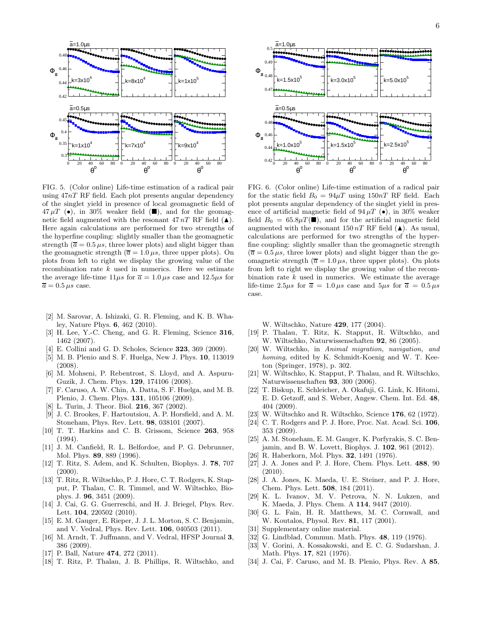

<span id="page-5-28"></span>FIG. 5. (Color online) Life-time estimation of a radical pair using  $47nT$  RF field. Each plot presents angular dependency of the singlet yield in presence of local geomagnetic field of  $47 \mu T$  (•), in 30% weaker field ( $\blacksquare$ ), and for the geomagnetic field augmented with the resonant  $47 nT$  RF field  $(\triangle)$ . Here again calculations are performed for two strengths of the hyperfine coupling: slightly smaller than the geomagnetic strength ( $\overline{a} = 0.5 \,\mu s$ , three lower plots) and slight bigger than the geomagnetic strength ( $\overline{a} = 1.0 \,\mu s$ , three upper plots). On plots from left to right we display the growing value of the recombination rate  $k$  used in numerics. Here we estimate the average life-time  $11\mu s$  for  $\overline{a} = 1.0 \mu s$  case and  $12.5\mu s$  for  $\overline{a} = 0.5 \,\mu s$  case.

- [2] M. Sarovar, A. Ishizaki, G. R. Fleming, and K. B. Whaley, Nature Phys. 6, 462 (2010).
- [3] H. Lee, Y.-C. Cheng, and G. R. Fleming, Science 316, 1462 (2007).
- [4] E. Collini and G. D. Scholes, Science 323, 369 (2009).
- [5] M. B. Plenio and S. F. Huelga, New J. Phys. 10, 113019 (2008).
- <span id="page-5-27"></span>[6] M. Mohseni, P. Rebentrost, S. Lloyd, and A. Aspuru-Guzik, J. Chem. Phys. 129, 174106 (2008).
- <span id="page-5-0"></span>[7] F. Caruso, A. W. Chin, A. Datta, S. F. Huelga, and M. B. Plenio, J. Chem. Phys. 131, 105106 (2009).
- <span id="page-5-1"></span>[8] L. Turin, J. Theor. Biol. 216, 367 (2002).
- <span id="page-5-2"></span>[9] J. C. Brookes, F. Hartoutsiou, A. P. Horsfield, and A. M. Stoneham, Phys. Rev. Lett. 98, 038101 (2007).
- <span id="page-5-3"></span>[10] T. T. Harkins and C. B. Grissom, Science 263, 958 (1994).
- <span id="page-5-4"></span>[11] J. M. Canfield, R. L. Belfordoe, and P. G. Debrunner, Mol. Phys. 89, 889 (1996).
- <span id="page-5-5"></span>[12] T. Ritz, S. Adem, and K. Schulten, Biophys. J. 78, 707  $(2000).$
- <span id="page-5-13"></span>[13] T. Ritz, R. Wiltschko, P. J. Hore, C. T. Rodgers, K. Stapput, P. Thalau, C. R. Timmel, and W. Wiltschko, Biophys. J. 96, 3451 (2009).
- [14] J. Cai, G. G. Guerreschi, and H. J. Briegel, Phys. Rev. Lett. 104, 220502 (2010).
- <span id="page-5-6"></span>[15] E. M. Gauger, E. Rieper, J. J. L. Morton, S. C. Benjamin, and V. Vedral, Phys. Rev. Lett. 106, 040503 (2011).
- <span id="page-5-7"></span>[16] M. Arndt, T. Juffmann, and V. Vedral, HFSP Journal 3, 386 (2009).
- <span id="page-5-8"></span>[17] P. Ball, Nature **474**, 272 (2011).
- <span id="page-5-9"></span>[18] T. Ritz, P. Thalau, J. B. Phillips, R. Wiltschko, and



<span id="page-5-29"></span>FIG. 6. (Color online) Life-time estimation of a radical pair for the static field  $B_0 = 94 \mu T$  using 150nT RF field. Each plot presents angular dependency of the singlet yield in presence of artificial magnetic field of  $94 \mu T$  ( $\bullet$ ), in  $30\%$  weaker field  $B_0 = 65.8 \mu T(\blacksquare)$ , and for the artificial magnetic field augmented with the resonant  $150 nT$  RF field ( $\triangle$ ). As usual, calculations are performed for two strengths of the hyperfine coupling: slightly smaller than the geomagnetic strength  $(\overline{a} = 0.5 \,\mu s,$  three lower plots) and slight bigger than the geomagnetic strength ( $\overline{a} = 1.0 \,\mu s$ , three upper plots). On plots from left to right we display the growing value of the recombination rate  $k$  used in numerics. We estimate the average life-time 2.5 $\mu s$  for  $\bar{a} = 1.0 \mu s$  case and 5 $\mu s$  for  $\bar{a} = 0.5 \mu s$ case.

W. Wiltschko, Nature 429, 177 (2004).

- <span id="page-5-10"></span>[19] P. Thalau, T. Ritz, K. Stapput, R. Wiltschko, and W. Wiltschko, Naturwissenschaften 92, 86 (2005).
- <span id="page-5-11"></span>[20] W. Wiltschko, in Animal migration, navigation, and homing, edited by K. Schmidt-Koenig and W. T. Keeton (Springer, 1978), p. 302.
- <span id="page-5-12"></span>[21] W. Wiltschko, K. Stapput, P. Thalau, and R. Wiltschko, Naturwissenschaften 93, 300 (2006).
- <span id="page-5-14"></span>[22] T. Biskup, E. Schleicher, A. Okafuji, G. Link, K. Hitomi, E. D. Getzoff, and S. Weber, Angew. Chem. Int. Ed. 48, 404 (2009).
- <span id="page-5-15"></span>[23] W. Wiltschko and R. Wiltschko, Science 176, 62 (1972).
- <span id="page-5-16"></span>[24] C. T. Rodgers and P. J. Hore, Proc. Nat. Acad. Sci. 106, 353 (2009).
- <span id="page-5-17"></span>[25] A. M. Stoneham, E. M. Gauger, K. Porfyrakis, S. C. Benjamin, and B. W. Lovett, Biophys. J. 102, 961 (2012).
- <span id="page-5-18"></span>[26] R. Haberkorn, Mol. Phys. 32, 1491 (1976).
- <span id="page-5-19"></span>[27] J. A. Jones and P. J. Hore, Chem. Phys. Lett. 488, 90 (2010).
- <span id="page-5-20"></span>[28] J. A. Jones, K. Maeda, U. E. Steiner, and P. J. Hore, Chem. Phys. Lett. 508, 184 (2011).
- <span id="page-5-21"></span>[29] K. L. Ivanov, M. V. Petrova, N. N. Lukzen, and K. Maeda, J. Phys. Chem. A 114, 9447 (2010).
- <span id="page-5-22"></span>[30] G. L. Fain, H. R. Matthews, M. C. Cornwall, and W. Koutalos, Physol. Rev. 81, 117 (2001).
- <span id="page-5-23"></span>[31] Supplementary online material.<br>[32] G. Lindblad, Commun. Math. I
- <span id="page-5-25"></span><span id="page-5-24"></span>
- [32] G. Lindblad, Commun. Math. Phys.  $48$ , 119 (1976).<br>[33] V. Gorini, A. Kossakowski, and E. C. G. Sudarshar [33] V. Gorini, A. Kossakowski, and E. C. G. Sudarshan, J. Math. Phys. 17, 821 (1976).
- <span id="page-5-26"></span>[34] J. Cai, F. Caruso, and M. B. Plenio, Phys. Rev. A 85,